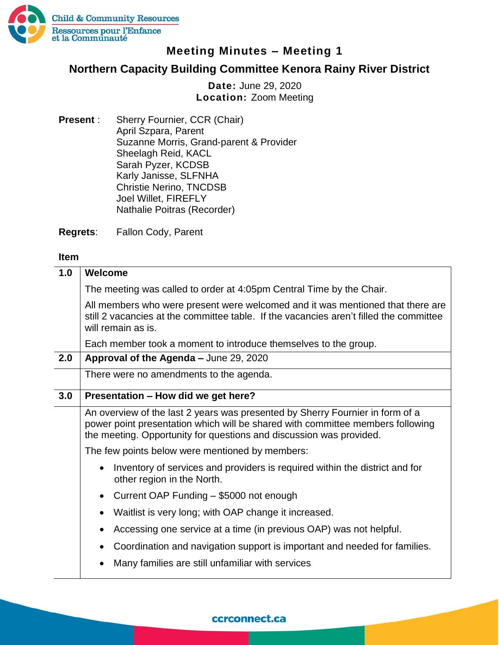

## **Meeting Minutes – Meeting 1**

## **Northern Capacity Building Committee Kenora Rainy River District**

**Date:** June 29, 2020 **Location:** Zoom Meeting

**Present** : Sherry Fournier, CCR (Chair) April Szpara, Parent Suzanne Morris, Grand-parent & Provider Sheelagh Reid, KACL Sarah Pyzer, KCDSB Karly Janisse, SLFNHA Christie Nerino, TNCDSB Joel Willet, FIREFLY Nathalie Poitras (Recorder)

**Regrets**: Fallon Cody, Parent

## **Item**

| 1.0 | Welcome                                                                                                                                                                                                                                |
|-----|----------------------------------------------------------------------------------------------------------------------------------------------------------------------------------------------------------------------------------------|
|     | The meeting was called to order at 4:05pm Central Time by the Chair.                                                                                                                                                                   |
|     | All members who were present were welcomed and it was mentioned that there are<br>still 2 vacancies at the committee table. If the vacancies aren't filled the committee<br>will remain as is.                                         |
|     | Each member took a moment to introduce themselves to the group.                                                                                                                                                                        |
| 2.0 | Approval of the Agenda - June 29, 2020                                                                                                                                                                                                 |
|     | There were no amendments to the agenda.                                                                                                                                                                                                |
| 3.0 | Presentation - How did we get here?                                                                                                                                                                                                    |
|     | An overview of the last 2 years was presented by Sherry Fournier in form of a<br>power point presentation which will be shared with committee members following<br>the meeting. Opportunity for questions and discussion was provided. |
|     | The few points below were mentioned by members:                                                                                                                                                                                        |
|     | Inventory of services and providers is required within the district and for<br>other region in the North.                                                                                                                              |
|     | Current OAP Funding - \$5000 not enough                                                                                                                                                                                                |
|     | Waitlist is very long; with OAP change it increased.                                                                                                                                                                                   |
|     | Accessing one service at a time (in previous OAP) was not helpful.                                                                                                                                                                     |
|     | Coordination and navigation support is important and needed for families.                                                                                                                                                              |
|     | Many families are still unfamiliar with services                                                                                                                                                                                       |

ccrconnect.ca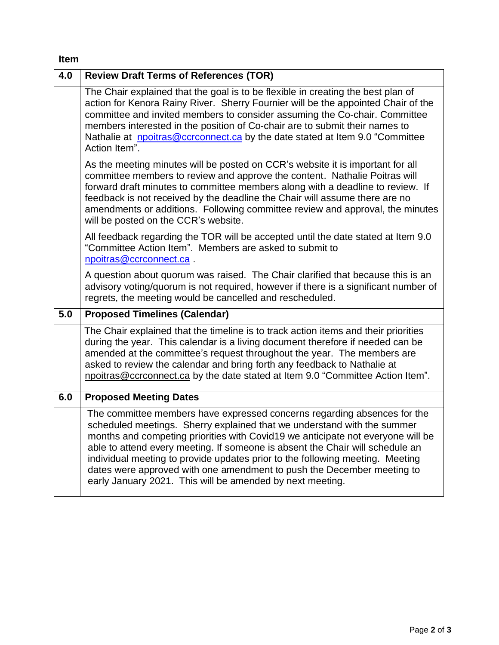| <b>Item</b> |                                                                                                                                                                                                                                                                                                                                                                                                                                                                                                                                                 |
|-------------|-------------------------------------------------------------------------------------------------------------------------------------------------------------------------------------------------------------------------------------------------------------------------------------------------------------------------------------------------------------------------------------------------------------------------------------------------------------------------------------------------------------------------------------------------|
| 4.0         | <b>Review Draft Terms of References (TOR)</b>                                                                                                                                                                                                                                                                                                                                                                                                                                                                                                   |
|             | The Chair explained that the goal is to be flexible in creating the best plan of<br>action for Kenora Rainy River. Sherry Fournier will be the appointed Chair of the<br>committee and invited members to consider assuming the Co-chair. Committee<br>members interested in the position of Co-chair are to submit their names to<br>Nathalie at <b>npoitras@ccrconnect.ca</b> by the date stated at Item 9.0 "Committee<br>Action Item".                                                                                                      |
|             | As the meeting minutes will be posted on CCR's website it is important for all<br>committee members to review and approve the content. Nathalie Poitras will<br>forward draft minutes to committee members along with a deadline to review. If<br>feedback is not received by the deadline the Chair will assume there are no<br>amendments or additions. Following committee review and approval, the minutes<br>will be posted on the CCR's website.                                                                                          |
|             | All feedback regarding the TOR will be accepted until the date stated at Item 9.0<br>"Committee Action Item". Members are asked to submit to<br>npoitras@ccrconnect.ca.                                                                                                                                                                                                                                                                                                                                                                         |
|             | A question about quorum was raised. The Chair clarified that because this is an<br>advisory voting/quorum is not required, however if there is a significant number of<br>regrets, the meeting would be cancelled and rescheduled.                                                                                                                                                                                                                                                                                                              |
| 5.0         | <b>Proposed Timelines (Calendar)</b>                                                                                                                                                                                                                                                                                                                                                                                                                                                                                                            |
|             | The Chair explained that the timeline is to track action items and their priorities<br>during the year. This calendar is a living document therefore if needed can be<br>amended at the committee's request throughout the year. The members are<br>asked to review the calendar and bring forth any feedback to Nathalie at<br>npoitras@ccrconnect.ca by the date stated at Item 9.0 "Committee Action Item".                                                                                                                                  |
| 6.0         | <b>Proposed Meeting Dates</b>                                                                                                                                                                                                                                                                                                                                                                                                                                                                                                                   |
|             | The committee members have expressed concerns regarding absences for the<br>scheduled meetings. Sherry explained that we understand with the summer<br>months and competing priorities with Covid19 we anticipate not everyone will be<br>able to attend every meeting. If someone is absent the Chair will schedule an<br>individual meeting to provide updates prior to the following meeting. Meeting<br>dates were approved with one amendment to push the December meeting to<br>early January 2021. This will be amended by next meeting. |